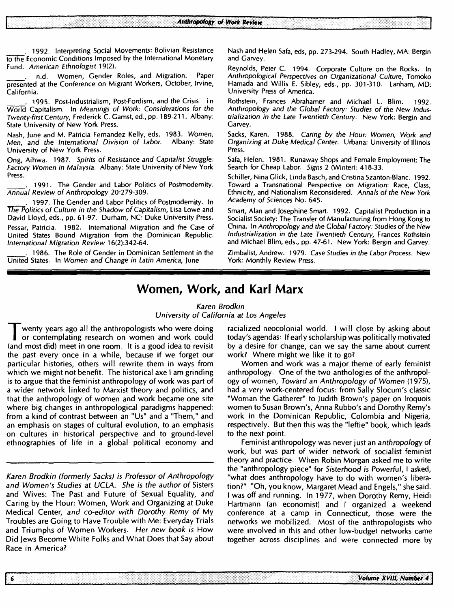. 1992. Interpreting Social Movements: Bolivian Resistance to the Economic Conditions Imposed by the International Monetary Fund. American Ethnologist 19(2).

. n.d. Women, Gender Roles, and Migration. Paper presented at the Conference on Migrant Workers, October, Irvine, California.

1995. Post-Industrialism, Post-Fordism, and the Crisis in World Capitalism. In Meanings of Work: Considerations for the Twenty-first Century, Frederick C. Gamst, ed., pp. 189-211. Albany: State University of New York Press.

Nash, June and M. Patricia Fernandez Kelly, eds. 1983. Women, Men. and the International Division of Labor. Albany: State Men, and the International Division of Labor. University of New York Press.

Ong, Aihwa. 1987. Spirits of Resistance and Capitalist Struggle: Factory Women in Malaysia. Albany: State University of New York Press.

. 1991. The Gender and Labor Politics of Postmodemity. Annual Review of Anthropology 20:279-309.

. 1997. The Gender and Labor Politics of Postmodemity. In The Politics of Culture in the Shadow of Capitalism, Lisa Lowe and David Lloyd, eds., pp. 61-97. Durham, NC: Duke University Press. Pessar, Patricia. 1982. International Migration and the Case of United States Bound Migration from the Dominican Republic. International Migration Review 16(2):342-64.

. 1986. The Role of Gender in Dominican Settlement in the United States. In Women and Change in Latin America, June

Nash and Helen Safa, eds, pp. 273-294. South Hadley, MA: Bergin and Garvey.

Reynolds, Peter C. 1994. Corporate Culture on the Rocks. In Anthropological Perspectives on Organizational Culture, Tomoko Hamada and Willis E. Sibley, eds., pp. 301-310. Lanham, MD: University Press of America.

Rothstein, Frances Abrahamer and Michael L. Blim. 1992. Anthropology and the Global Factory: Studies of the New Industrialization in the Late Twentieth Century. New York: Bergin and Garvey.

Sacks, Karen. 1988. Caring by the Hour: Women, Work and Organizing at Duke Medical Center. Urbana: University of Illinois Press.

Safa, Helen. 1981. Runaway Shops and Female Employment: The Search for Cheap Labor. Signs 2 (Winter): 418-33.

Schiller, NinaGlick, Linda Basch, and Cristina Szanton-Blanc. 1992. Toward a Transnational Perspective on Migration: Race, Class, Ethnicity, and Nationalism Reconsidered. Annals of the New York Academy of Sciences No. 645.

Smart, Alan and Josephine Smart. 1992. Capitalist Production in a Socialist Society: The Transfer of Manufacturing from Hong Kong to China. In Anthropology and the Global Factory: Studies of the New Industrialization in the Late Twentieth Century, Frances Rothstein and Michael Blim, eds., pp. 47-61. New York: Bergin and Garvey.

Zimbalist, Andrew. 1979. Case Studies in the Labor Process. New York: Monthly Review Press.

# **Women, Work, and Karl Marx**

### Karen Brodkin University of California at Los Angeles

T wenty years ago all the anthropologists who were doing<br>or contemplating research on women and work could<br>(and most did) meet in one room. It is a good idea to revisit wenty years ago all the anthropologists who were doing or contemplating research on women and work could the past every once in a while, because if we forget our particular histories, others will rewrite them in ways from which we might not benefit. The historical axe I am grinding is to argue that the feminist anthropology of work was part of a wider network linked to Marxist theory and politics, and that the anthropology of women and work became one site where big changes in anthropological paradigms happened: from a kind of contrast between an "Us" and a "Them," and an emphasis on stages of cultural evolution, to an emphasis on cultures in historical perspective and to ground-level ethnographies of life in a global political economy and

Karen Brodkin (formerly Sacks) is Professor of Anthropology and Women's Studies at UCLA. She is the author of Sisters and Wives: The Past and Future of Sexual Equality, and Caring by the Hour: Women, Work and Organizing at Duke Medical Center, and co-editor with Dorothy Remy of My Troubles are Going to Have Trouble with Me: Everyday Trials and Triumphs of Women Workers. Her new book is How Did Jews Become White Folks and What Does that Say about Race in America?

-6

racialized neocolonial world. I will close by asking about today's agendas: If early scholarship was politically motivated by a desire for change, can we say the same about current work? Where might we like it to go?

Women and work was a major theme of early feminist anthropology. One of the two anthologies of the anthropology of women, Toward an Anthropology of Women (1975), had a very work-centered focus: from Sally Slocum's classic "Woman the Gatherer" to Judith Brown's paper on Iroquois women to Susan Brown's, Anna Rubbo's and Dorothy Remy's work in the Dominican Republic, Colombia and Nigeria, respectively. But then this was the "leftie" book, which leads to the next point.

Feminist anthropology was never just an anthropology of work, but was part of wider network of socialist feminist theory and practice. When Robin Morgan asked me to write the "anthropology piece" for Sisterhood is Powerful, I asked, "what does anthropology have to do with women's liberation?" "Oh, you know, Margaret Mead and Engels," she said. I was off and running. In 1977, when Dorothy Remy, Heidi Hartmann (an economist) and I organized a weekend conference at a camp in Connecticut, those were the networks we mobilized. Most of the anthropologists who were involved in this and other low-budget networks came together across disciplines and were connected more by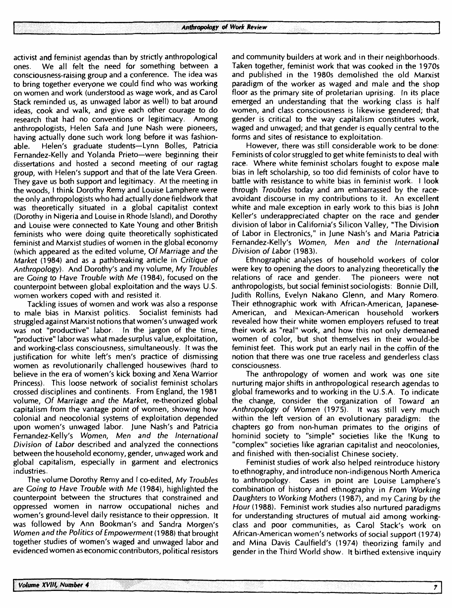activist and feminist agendas than by strictly anthropological ones. We all felt the need for something between a consciousness-raising group and a conference. The idea was to bring together everyone we could find who was working on women and work (understood as wage work, and as Carol Stack reminded us, as unwaged labor as well) to bat around ideas, cook and walk, and give each other courage to do research that had no conventions or legitimacy. Among anthropologists, Helen Safa and June Nash were pioneers, having actually done such work long before it was fashionable. Helen's graduate students—Lynn Bolles, Patricia Fernandez-Kelly and Yolanda Prieto—were beginning their dissertations and hosted a second meeting of our ragtag group, with Helen's support and that of the late Vera Green. They gave us both support and legitimacy. At the meeting in the woods, I think Dorothy Remy and Louise Lamphere were the only anthropologists who had actually done fieldwork that was theoretically situated in a global capitalist context (Dorothy in Nigeria and Louise in Rhode Island), and Dorothy and Louise were connected to Kate Young and other British feminists who were doing quite theoretically sophisticated feminist and Marxist studies of women in the global economy (which appeared as the edited volume, Of Marriage and the Market (1984) and as a pathbreaking article in Critique of Anthropology). And Dorothy's and my volume, My Troubles are Going to Have Trouble with Me (1984), focused on the counterpoint between global exploitation and the ways U.S. women workers coped with and resisted it.

Tackling issues of women and work was also a response to male bias in Marxist politics. Socialist feminists had struggled against Marxist notions that women's unwaged work was not "productive" labor. In the jargon of the time, "productive" labor was what made surplus value, exploitation, and working-class consciousness, simultaneously. It was the justification for white left's men's practice of dismissing women as revolutionarily challenged housewives (hard to believe in the era of women's kick boxing and Xena Warrior Princess). This loose network of socialist feminist scholars crossed disciplines and continents. From England, the 1981 volume, Of Marriage and the Market, re-theorized global capitalism from the vantage point of women, showing how colonial and neocolonial systems of exploitation depended upon women's unwaged labor. June Nash's and Patricia Fernandez-Kelly's Women, Men and the International Division of Labor described and analyzed the connections between the household economy, gender, unwaged work and global capitalism, especially in garment and electronics industries.

The volume Dorothy Remy and I co-edited, My Troubles are Going to Have Trouble with Me (1984), highlighted the counterpoint between the structures that constrained and oppressed women in narrow occupational niches and women's ground-level daily resistance to their oppression. It was followed by Ann Bookman's and Sandra Morgen's Women and the Politics of Empowerment (1988) that brought together studies of women's waged and unwaged labor and evidenced women as economic contributors, political resistors

and community builders at work and in their neighborhoods. Taken together, feminist work that was cooked in the 1970s and published in the 1980s demolished the old Marxist paradigm of the worker as waged and male and the shop floor as the primary site of proletarian uprising. In its place emerged an understanding that the working class is half women, and class consciousness is likewise gendered; that gender is critical to the way capitalism constitutes work, waged and unwaged; and that gender is equally central to the forms and sites of resistance to exploitation.

However, there was still considerable work to be done. Feminists of color struggled to get white feminists to deal with race. Where white feminist scholars fought to expose male bias in left scholarship, so too did feminists of color have to battle with resistance to white bias in feminist work. I look through Troubles today and am embarrassed by the raceavoidant discourse in my contributions to it. An excellent white and male exception in early work to this bias is John Keller's underappreciated chapter on the race and gender division of labor in California's Silicon Valley, "The Division of Labor in Electronics," in June Nash's and Maria Patricia Fernandez-Kelly's Women, Men and the International Division of Labor (1983).

Ethnographic analyses of household workers of color were key to opening the doors to analyzing theoretically the relations of race and gender. The pioneers were not anthropologists, but social feminist sociologists. Bonnie Dill, Judith Rollins, Evelyn Nakano Glenn, and Mary Romero. Their ethnographic work with African-American, Japanese-American, and Mexican-American household workers revealed how their white women employers refused to treat their work as "real" work, and how this not only demeaned women of color, but shot themselves in their would-be feminist feet. This work put an early nail in the coffin of the notion that there was one true raceless and genderless class consciousness.

The anthropology of women and work was one site nurturing major shifts in anthropological research agendas to global frameworks and to working in the U.S.A. To indicate the change, consider the organization of Toward an Anthropology of Women (1975). It was still very much within the left version of an evolutionary paradigm: the chapters go from non-human primates to the origins of hominid society to "simple" societies like the !Kung to "complex" societies like agrarian capitalist and neocolonies, and finished with then-socialist Chinese society.

Feminist studies of work also helped reintroduce history to ethnography, and introduce non-indigenous North America to anthropology. Cases in point are Louise Lamphere's combination of history and ethnography in From Working Daughters to Working Mothers (1987), and my Caring by the Hour (1988). Feminist work studies also nurtured paradigms for understanding structures of mutual aid among workingclass and poor communities, as Carol Stack's work on African-American women's networks of social support (1974) and Mina Davis Caulfield's (1974) theorizing family and gender in the Third World show. It birthed extensive inquiry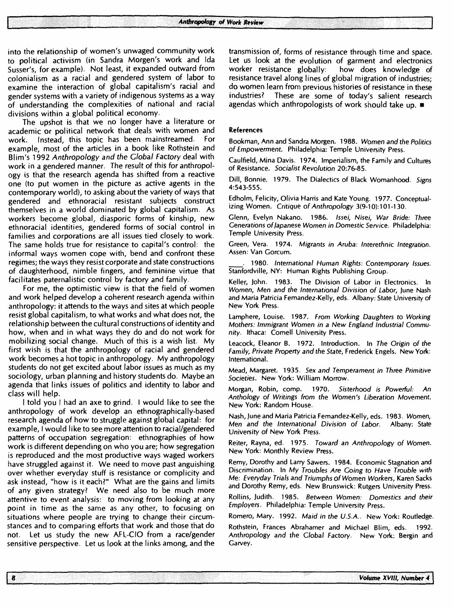into the relationship of women's unwaged community work to political activism (in Sandra Morgen's work and Ida Susser's, for example). Not least, it expanded outward from colonialism as a racial and gendered system of labor to examine the interaction of global capitalism's racial and gender systems with a variety of indigenous systems as a way of understanding the complexities of national and racial divisions within a global political economy.

The upshot is that we no longer have a literature or academic or political network that deals with women and work. Instead, this topic has been mainstreamed. For example, most of the articles in a book like Rothstein and Blim's 1992 Anthropology and the Global Factory deal with work in a gendered manner. The result of this for anthropology is that the research agenda has shifted from a reactive one (to put women in the picture as active agents in the contemporary world), to asking about the variety of ways that gendered and ethnoracial resistant subjects construct themselves in a world dominated by global capitalism. As workers become global, diasporic forms of kinship, new ethnoracial identities, gendered forms of social control in families and corporations are all issues tied closely to work. The same holds true for resistance to capital's control: the informal ways women cope with, bend and confront these regimes; the ways they resist corporate and state constructions of daughterhood, nimble fingers, and feminine virtue that facilitates paternalistic control by factory and family.

For me, the optimistic view is that the field of women and work helped develop a coherent research agenda within anthropology: it attends to the ways and sites at which people resist global capitalism, to what works and what does not, the relationship between the cultural constructions of identity and how, when and in what ways they do and do not work for mobilizing social change. Much of this is a wish list. My first wish is that the anthropology of racial and gendered work becomes a hot topic in anthropology. My anthropology students do not get excited about labor issues as much as my sociology, urban planning and history students do. Maybe an agenda that links issues of politics and identity to labor and class will help.

I told you I had an axe to grind. I would like to see the anthropology of work develop an ethnographically-based research agenda of how to struggle against global capital: for example, I would like to see more attention to racial/gendered patterns of occupation segregation: ethnographies of how work is different depending on who you are; how segregation is reproduced and the most productive ways waged workers have struggled against it. We need to move past anguishing over whether everyday stuff is resistance or complicity and ask instead, "how is it each?" What are the gains and limits of any given strategy? We need also to be much more attentive to event analysis: to moving from looking at any point in time as the same as any other, to focusing on situations where people are trying to change their circumstances and to comparing efforts that work and those that do not. Let us study the new AFL-CIO from a race/gender sensitive perspective. Let us look at the links among, and the

transmission of, forms of resistance through time and space. Let us look at the evolution of garment and electronics worker resistance globally. how does knowledge of resistance travel along lines of global migration of industries; do women learn from previous histories of resistance in these industries? These are some of today's salient research agendas which anthropologists of work should take up.  $\blacksquare$ 

#### References

Bookman, Ann and Sandra Morgen. 1988. Women and the Politics of Empowerment. Philadelphia: Temple University Press.

Caulfield, Mina Davis. 1974. Imperialism, the Family and Cultures of Resistance. Socialist Revolution 20:76-85.

Dill, Bonnie. 1979. The Dialectics of Black Womanhood. Signs 4:543-555.

Edholm, Felicity, Olivia Harris and Kate Young. 1977. Conceptualizing Women. Critique of Anthropology 3(9-10): 101-130.

Glenn, Evelyn Nakano. 1986. Issei, Nisei, War Bride: Three Generations of Japanese Women in Domestic Service. Philadelphia: Temple University Press.

Green, Vera. 1974. Migrants in Aruba: Interethnic Integration. Assen: Van Gorcum.

. 1980. International Human Rights: Contemporary Issues. Stanfordville, NY: Human Rights Publishing Group.

Keller, John. 1983. The Division of Labor in Electronics. In Women, Men and the International Division of Labor, June Nash and Maria Patricia Fernandez-Kelly, eds. Albany: State University of New York Press.

Lamphere, Louise. 1987. From Working Daughters to Working Mothers: Immigrant Women in a New England Industrial Community. Ithaca: Comell University Press.

Leacock, Eleanor B. 1972. Introduction. In The Origin of the Family, Private Property and the State, Frederick Engels. New York: International.

Mead, Margaret. 1935. Sex and Temperament in Three Primitive Societies. New York: William Morrow.

Morgan, Robin, comp. 1970. Sisterhood is Powerful: An Anthology of Writings from the Women's Liberation Movement. New York: Random House.

Nash, June and Maria Patricia Fernandez-Kelly, eds. 1983. Women, Men and the International Division of Labor. Albany: State University of New York Press.

Reiter, Rayna, ed. 1975. Toward an Anthropology of Women. New York: Monthly Review Press.

Remy, Dorothy and Larry Sawers. 1984. Economic Stagnation and Discrimination. In My Troubles Are Going to Have Trouble with Me: Everyday Trials and Triumphs of Women Workers, Karen Sacks and Dorothy Remy, eds. New Brunswick: Rutgers University Press.

Rollins, Judith. 1985. Between Women: Domestics and their Employers. Philadelphia: Temple University Press.

Romero, Mary. 1992. Maid in the U.S.A.. New York: Routledge.

Rothstein, Frances Abrahamer and Michael Blim, eds. 1992. Anthropology and the Global Factory. New York: Bergin and Garvey.